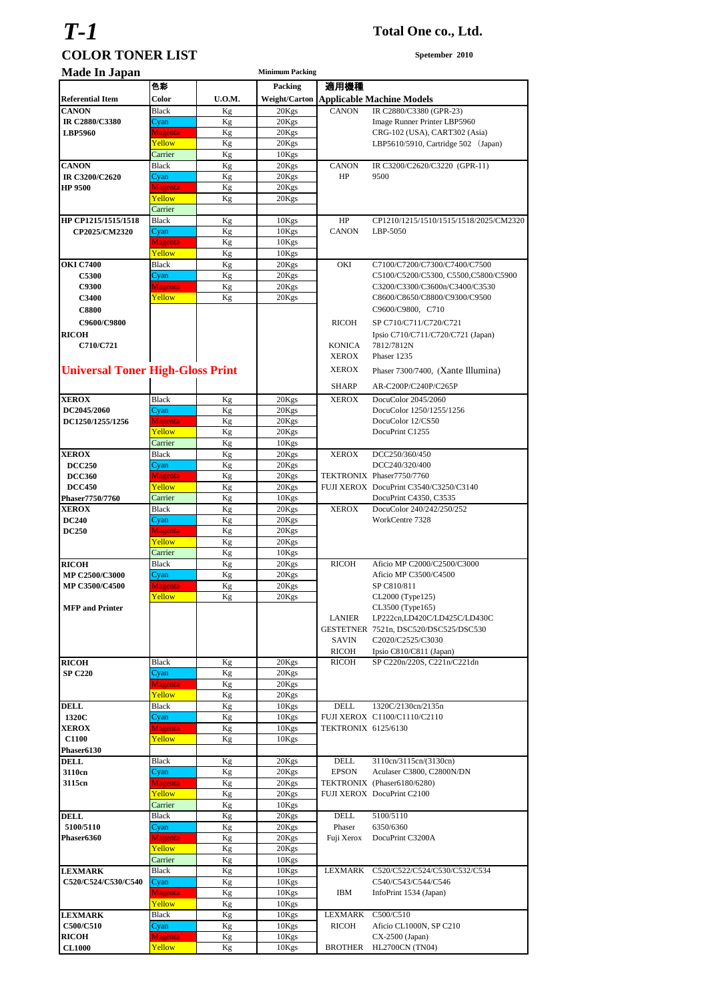# *T-1* **Total One co., Ltd. COLOR TONER LIST** Spetember 2010

| <b>Made In Japan</b>                    |                          |               | <b>Minimum Packing</b> |                     |                                        |
|-----------------------------------------|--------------------------|---------------|------------------------|---------------------|----------------------------------------|
|                                         | 色彩                       |               | Packing                | 適用機種                |                                        |
| <b>Referential Item</b>                 | Color                    | <b>U.O.M.</b> | <b>Weight/Carton</b>   |                     | <b>Applicable Machine Models</b>       |
| <b>CANON</b>                            | <b>Black</b>             | Kg            | 20Kgs                  | <b>CANON</b>        | IR C2880/C3380 (GPR-23)                |
| IR C2880/C3380                          | Cyan                     | Kg            | 20Kgs                  |                     | Image Runner Printer LBP5960           |
| <b>LBP5960</b>                          | <b>Magenta</b>           | Kg            | 20Kgs                  |                     | CRG-102 (USA), CART302 (Asia)          |
|                                         | Yellow                   | Kg            | 20Kgs                  |                     | LBP5610/5910, Cartridge 502 (Japan)    |
|                                         | Carrier                  | Kg            | 10Kgs                  |                     |                                        |
| <b>CANON</b>                            | <b>Black</b>             | Kg            | 20Kgs                  | <b>CANON</b>        | IR C3200/C2620/C3220 (GPR-11)          |
| IR C3200/C2620                          | Cyan                     | Kg            | 20Kgs                  | HP                  | 9500                                   |
| <b>HP 9500</b>                          | <b>Magenta</b><br>Yellow | Kg<br>Kg      | 20Kgs<br>20Kgs         |                     |                                        |
|                                         | Carrier                  |               |                        |                     |                                        |
| HP CP1215/1515/1518                     | <b>Black</b>             | Kg            | 10Kgs                  | HP                  | CP1210/1215/1510/1515/1518/2025/CM2320 |
| CP2025/CM2320                           | Cyan                     | Kg            | 10Kgs                  | <b>CANON</b>        | LBP-5050                               |
|                                         | Magenta                  | Кg            | 10Kgs                  |                     |                                        |
|                                         | Yellow                   | Kg            | 10Kgs                  |                     |                                        |
| <b>OKI C7400</b>                        | <b>Black</b>             | Kg            | 20Kgs                  | OKI                 | C7100/C7200/C7300/C7400/C7500          |
| <b>C5300</b>                            | Cyan                     | Kg            | 20Kgs                  |                     | C5100/C5200/C5300, C5500,C5800/C5900   |
| <b>C9300</b>                            | Magenta                  | Kg            | 20Kgs                  |                     | C3200/C3300/C3600n/C3400/C3530         |
| <b>C3400</b>                            | Yellow                   | Kg            | 20Kgs                  |                     | C8600/C8650/C8800/C9300/C9500          |
| <b>C8800</b>                            |                          |               |                        |                     | C9600/C9800, C710                      |
| C9600/C9800                             |                          |               |                        | <b>RICOH</b>        | SP C710/C711/C720/C721                 |
| <b>RICOH</b>                            |                          |               |                        |                     | Ipsio C710/C711/C720/C721 (Japan)      |
| C710/C721                               |                          |               |                        | <b>KONICA</b>       | 7812/7812N                             |
|                                         |                          |               |                        | <b>XEROX</b>        | Phaser 1235                            |
| <b>Universal Toner High-Gloss Print</b> |                          |               |                        | <b>XEROX</b>        | Phaser 7300/7400, (Xante Illumina)     |
|                                         |                          |               |                        | <b>SHARP</b>        | AR-C200P/C240P/C265P                   |
| <b>XEROX</b>                            | Black                    | Kg            | 20Kgs                  | <b>XEROX</b>        | DocuColor 2045/2060                    |
| DC2045/2060                             | Cyan                     | Kg            | 20Kgs                  |                     | DocuColor 1250/1255/1256               |
| DC1250/1255/1256                        | Magenta                  | Kg            | 20Kgs                  |                     | DocuColor 12/CS50                      |
|                                         | Yellow                   | Kg            | 20Kgs                  |                     | DocuPrint C1255                        |
|                                         | Carrier                  | Kg            | 10Kgs                  |                     |                                        |
| <b>XEROX</b>                            | Black                    | Kg            | 20Kgs                  | <b>XEROX</b>        | DCC250/360/450                         |
| <b>DCC250</b>                           | Cyan                     | Kg            | 20Kgs                  |                     | DCC240/320/400                         |
| <b>DCC360</b>                           | <b>Magenta</b>           | Kg            | 20Kgs                  |                     | TEKTRONIX Phaser7750/7760              |
| <b>DCC450</b>                           | Yellow                   | Kg            | 20Kgs                  |                     | FUJI XEROX DocuPrint C3540/C3250/C3140 |
| Phaser7750/7760                         | Carrier                  | Kg            | 10Kgs                  |                     | DocuPrint C4350, C3535                 |
| <b>XEROX</b>                            | <b>Black</b>             | Kg            | 20Kgs                  | <b>XEROX</b>        | DocuColor 240/242/250/252              |
| <b>DC240</b>                            | Cyan                     | Kg            | 20Kgs                  |                     | WorkCentre 7328                        |
| <b>DC250</b>                            | <b>Magenta</b>           | Kg            | 20Kgs                  |                     |                                        |
|                                         | Yellow                   | Kg            | 20Kgs                  |                     |                                        |
| <b>RICOH</b>                            | Carrier<br><b>Black</b>  | Kg<br>Kg      | 10Kgs<br>20Kgs         | <b>RICOH</b>        | Aficio MP C2000/C2500/C3000            |
| MP C2500/C3000                          | Cyan                     | Kg            | 20Kgs                  |                     | Aficio MP C3500/C4500                  |
| <b>MP C3500/C4500</b>                   | <b>Magenta</b>           | Kg            | 20Kgs                  |                     | SP C810/811                            |
|                                         | Yellow                   | Kg            | 20Kgs                  |                     | CL2000 (Type125)                       |
| <b>MFP</b> and Printer                  |                          |               |                        |                     | CL3500 (Type165)                       |
|                                         |                          |               |                        | <b>LANIER</b>       | LP222cn,LD420C/LD425C/LD430C           |
|                                         |                          |               |                        |                     | GESTETNER 7521n, DSC520/DSC525/DSC530  |
|                                         |                          |               |                        | SAVIN               | C2020/C2525/C3030                      |
|                                         |                          |               |                        | RICOH               | Ipsio C810/C811 (Japan)                |
| <b>RICOH</b>                            | <b>Black</b>             | Kg            | 20Kgs                  | RICOH               | SP C220n/220S, C221n/C221dn            |
| <b>SP C220</b>                          | Cyan                     | Kg            | 20Kgs                  |                     |                                        |
|                                         | Magenta                  | Kg            | 20Kgs                  |                     |                                        |
| <b>DELL</b>                             | Yellow<br><b>Black</b>   | Kg<br>Kg      | 20Kgs<br>10Kgs         | <b>DELL</b>         | 1320C/2130cn/2135n                     |
| 1320C                                   | Cyan                     | Kg            | 10Kgs                  |                     | FUJI XEROX C1100/C1110/C2110           |
| <b>XEROX</b>                            | <b>Magenta</b>           | Kg            | 10Kgs                  | TEKTRONIX 6125/6130 |                                        |
| C1100                                   | Yellow                   | Kg            | 10Kgs                  |                     |                                        |
| Phaser6130                              |                          |               |                        |                     |                                        |
| <b>DELL</b>                             | Black                    | Kg            | 20Kgs                  | DELL                | 3110cn/3115cn/(3130cn)                 |
| 3110cn                                  | Cyan                     | Kg            | 20Kgs                  | <b>EPSON</b>        | Aculaser C3800, C2800N/DN              |
| 3115cn                                  | <b>Magenta</b>           | Kg            | 20Kgs                  |                     | TEKTRONIX (Phaser6180/6280)            |
|                                         | Yellow                   | Kg            | 20Kgs                  |                     | FUJI XEROX DocuPrint C2100             |
|                                         | Carrier                  | Kg            | 10Kgs                  |                     |                                        |
| <b>DELL</b>                             | <b>Black</b>             | Kg            | 20Kgs                  | DELL                | 5100/5110                              |
| 5100/5110                               | Cyan                     | Kg            | 20Kgs                  | Phaser              | 6350/6360                              |
| Phaser6360                              | <b>Magenta</b>           | Kg            | 20Kgs                  | Fuji Xerox          | DocuPrint C3200A                       |
|                                         | Yellow<br>Carrier        | Kg            | 20Kgs                  |                     |                                        |
| <b>LEXMARK</b>                          | Black                    | Kg<br>Kg      | 10Kgs<br>10Kgs         |                     | LEXMARK C520/C522/C524/C530/C532/C534  |
| C520/C524/C530/C540                     | Cyan                     | Kg            | 10Kgs                  |                     | C540/C543/C544/C546                    |
|                                         | <b>Magenta</b>           | Kg            | 10Kgs                  | IBM                 | InfoPrint 1534 (Japan)                 |
|                                         | Yellow                   | Kg            | 10Kgs                  |                     |                                        |
| <b>LEXMARK</b>                          | Black                    | Kg            | 10Kgs                  | LEXMARK             | C500/C510                              |
| C500/C510                               | Cyan                     | Kg            | 10Kgs                  | RICOH               | Aficio CL1000N, SP C210                |
| <b>RICOH</b>                            | Magenta                  | Kg            | 10Kgs                  |                     | CX-2500 (Japan)                        |
| <b>CL1000</b>                           | Yellow                   | Kg            | 10Kgs                  | BROTHER             | HL2700CN (TN04)                        |